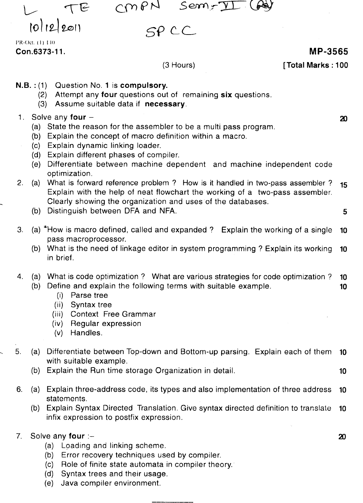CWBY Sem-II

TE 10/12/2011

 $CPCC$ 

I'R-Oct. ( I) 110

### $(3$  Hours)

### **Con.6373-11. MP-3565**

**[Total Marks: 100**

- **N.S. :** (1) Question NO.1 is **compulsory.**
	- (2) Attempt any **four** questions out of remaining **six** questions.
	- (3) Assume suitable data if **necessary.**
- 1. Solve any **four -** 2)
	- (a) State the reason for the assembler to be a multi pass program.
	- (b) Explain the concept of macro definition within a macro.
	- (c) Explain dynamic linking loader.
	- (d) Explain different phases of compiler.
	- (e) Differentiate between machine dependent and machine independent code optimization.
- 2. (a) What is forward reference problem? How is it handled in two-pass assembler? **15** Explain with the help of neat flowchart the working of a two-pass assembler. Clearly showing the organization and uses of the databases.
	- (b) Distinguish between DFA and NFA. 5
- 3. (a) <sup>\*</sup>How is macro defined, called and expanded? Explain the working of a single **10** pass macroprocessor.
	- (b) What is the need of linkage editor in system programming? Explain its working **10** in brief.
- 4. (a) What is code optimization? What are various strategies for code optimization? **10** (b) Define and explain the following terms with suitable example. **10**
	- (i) Parse tree
	- (ii) Syntax tree
	- (iii) Context Free Grammar
	- (iv) Regular expression
	- (v) Handles.
- 5. (a) Differentiate between Top-down and Bottom-up parsing. Explain each of them **10** with suitable example.
	- (b) Explain the Run time storage Organization in detail. **10**
- 6. (a) Explain three-address code, its types and also implementation of three address **10** statements.
	- (b) Explain Syntax Directed Translation. Give syntax directed definition to translate **10** infix expression to postfix expression.
- 7. Solve any **four :-**
	- (a) Loading and linking scheme.
	- (b) Error recovery techniques used by compiler.
	- (c) Role of finite state automata in compiler theory.
	- (d) Syntax trees and their usage.
	- (e) Java compiler environment.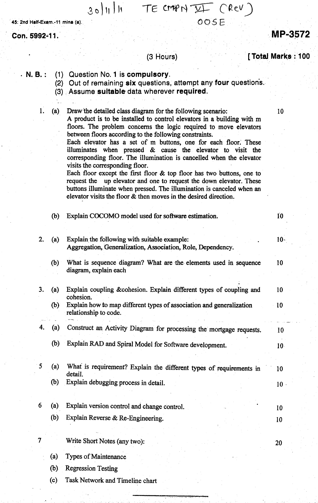## 30/11/11  $TE$   $CMP$   $YF$   $CRev$   $)$

*COSE*

45: 2nd Half-Exam.-11 mina (a).

Con. 5992-11.

# (3 Hours) [Total Marks: 100

| $N. B.$ : | (2)       | (1) Question No. 1 is compulsory.<br>Out of remaining six questions, attempt any four questions.<br>(3) Assume suitable data wherever required.                                                                                                                                                                                                                                                                                                                                                                                          |                 |
|-----------|-----------|------------------------------------------------------------------------------------------------------------------------------------------------------------------------------------------------------------------------------------------------------------------------------------------------------------------------------------------------------------------------------------------------------------------------------------------------------------------------------------------------------------------------------------------|-----------------|
|           |           |                                                                                                                                                                                                                                                                                                                                                                                                                                                                                                                                          |                 |
|           | 1.<br>(a) | Draw the detailed class diagram for the following scenario:<br>A product is to be installed to control elevators in a building with m<br>floors. The problem concerns the logic required to move elevators<br>between floors according to the following constraints.                                                                                                                                                                                                                                                                     | 10              |
|           |           | Each elevator has a set of m buttons, one for each floor. These<br>illuminates when pressed & cause the elevator to visit the<br>corresponding floor. The illumination is cancelled when the elevator<br>visits the corresponding floor.<br>Each floor except the first floor $\&$ top floor has two buttons, one to<br>request the up elevator and one to request the down elevator. These<br>buttons illuminate when pressed. The illumination is canceled when an<br>elevator visits the floor & then moves in the desired direction. |                 |
|           | (b)       | Explain COCOMO model used for software estimation.                                                                                                                                                                                                                                                                                                                                                                                                                                                                                       | 10              |
|           |           |                                                                                                                                                                                                                                                                                                                                                                                                                                                                                                                                          |                 |
| 2.        | (a)       | Explain the following with suitable example:<br>Aggregation, Generalization, Association, Role, Dependency.                                                                                                                                                                                                                                                                                                                                                                                                                              | $10 -$          |
|           | (b)       | What is sequence diagram? What are the elements used in sequence<br>diagram, explain each                                                                                                                                                                                                                                                                                                                                                                                                                                                | 10 <sup>°</sup> |
| 3.        | (a)       | Explain coupling &cohesion. Explain different types of coupling and<br>cohesion.                                                                                                                                                                                                                                                                                                                                                                                                                                                         | 10              |
|           | (b)       | Explain how to map different types of association and generalization<br>relationship to code.                                                                                                                                                                                                                                                                                                                                                                                                                                            | 10              |
| 4.        | (a)       | Construct an Activity Diagram for processing the mortgage requests.                                                                                                                                                                                                                                                                                                                                                                                                                                                                      | 10              |
|           | (b)       | Explain RAD and Spiral Model for Software development.                                                                                                                                                                                                                                                                                                                                                                                                                                                                                   | 10 <sup>1</sup> |
| 5         | (a)       | What is requirement? Explain the different types of requirements in<br>detail.                                                                                                                                                                                                                                                                                                                                                                                                                                                           | 10              |
|           | (b)       | Explain debugging process in detail.                                                                                                                                                                                                                                                                                                                                                                                                                                                                                                     | 10 <sup>1</sup> |
| 6         | (a)       | Explain version control and change control.                                                                                                                                                                                                                                                                                                                                                                                                                                                                                              | 10              |
|           | (b)       | Explain Reverse & Re-Engineering.                                                                                                                                                                                                                                                                                                                                                                                                                                                                                                        | 10              |
| 7         |           | Write Short Notes (any two):                                                                                                                                                                                                                                                                                                                                                                                                                                                                                                             | 20              |
|           | (a)       | Types of Maintenance                                                                                                                                                                                                                                                                                                                                                                                                                                                                                                                     |                 |
|           | (b)       | <b>Regression Testing</b>                                                                                                                                                                                                                                                                                                                                                                                                                                                                                                                |                 |
|           | (c)       | Task Network and Timeline chart                                                                                                                                                                                                                                                                                                                                                                                                                                                                                                          |                 |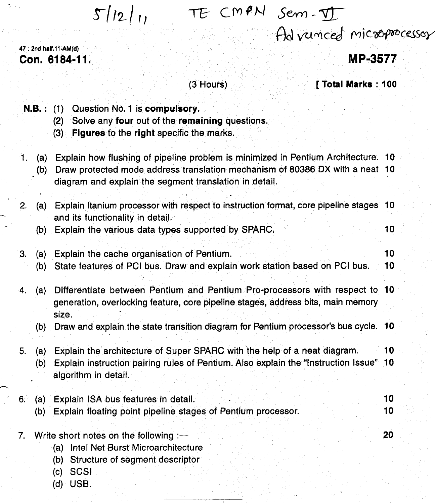$5/12/11$ 

T& C M~N *SevY),.*-yr-

Ad vunced microprocessor

47 : 2nd half.11 ~AM(d) Con. 6184-11.

MP-3577

(3 Hours)

[ Total Marks: 100

- N.B.: (1) Question No. 1 is compulsory.
	- (2) Solve any four out of the remaining questions.
	- (3) Figures fo the right specific the marks.
- 1. (a) Explain how flushing of pipeline problem is minimized in Pentium Architecture. 10
	- (b) Draw protected mode address translation mechanism of 80386 OX with a neat 10 diagram and explain the segment translation in detail.

| 2. | (a)        | Explain Itanium processor with respect to instruction format, core pipeline stages 10<br>and its functionality in detail.                                                                 |          |
|----|------------|-------------------------------------------------------------------------------------------------------------------------------------------------------------------------------------------|----------|
|    | (b)        | Explain the various data types supported by SPARC.                                                                                                                                        | 10       |
| 3. | (a)<br>(b) | Explain the cache organisation of Pentium.<br>State features of PCI bus. Draw and explain work station based on PCI bus.                                                                  | 10<br>10 |
| 4. | (a)        | Differentiate between Pentium and Pentium Pro-processors with respect to 10<br>generation, overlocking feature, core pipeline stages, address bits, main memory<br>size.                  |          |
|    | (b)        | Draw and explain the state transition diagram for Pentium processor's bus cycle. 10                                                                                                       |          |
| 5. | (a)<br>(b) | Explain the architecture of Super SPARC with the help of a neat diagram.<br>Explain instruction pairing rules of Pentium. Also explain the "Instruction Issue" 10<br>algorithm in detail. | 10       |
| 6. | (a)<br>(b) | Explain ISA bus features in detail.<br>Explain floating point pipeline stages of Pentium processor.                                                                                       | 10<br>10 |
| 7. |            | Write short notes on the following :-<br>Intel Net Burst Microarchitecture<br>(a)<br>Structure of segment descriptor<br>(b)<br><b>SCSI</b><br>(c)<br>(d) USB.                             | 20       |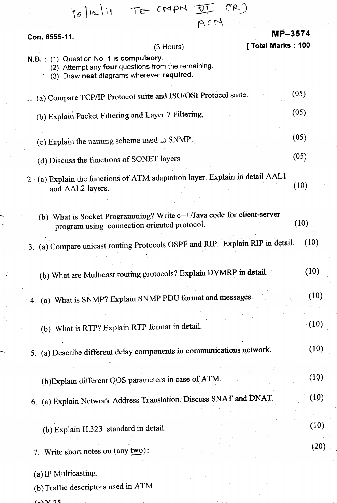| 15/12/11 TE CMPN II (R)                                                                                                                    |         |
|--------------------------------------------------------------------------------------------------------------------------------------------|---------|
| ACM                                                                                                                                        |         |
| Con. 6555-11.                                                                                                                              | MP-3574 |
| [ Total Marks: 100<br>$(3$ Hours)                                                                                                          |         |
| N.B.: (1) Question No. 1 is compulsory.<br>(2) Attempt any four questions from the remaining.<br>(3) Draw neat diagrams wherever required. |         |
| 1. (a) Compare TCP/IP Protocol suite and ISO/OSI Protocol suite.                                                                           | (05)    |
| (b) Explain Packet Filtering and Layer 7 Filtering.                                                                                        | (05)    |
| (c) Explain the naming scheme used in SNMP.                                                                                                | (05)    |
| (d) Discuss the functions of SONET layers.                                                                                                 | (05)    |
| 2. (a) Explain the functions of ATM adaptation layer. Explain in detail AAL1<br>and AAL2 layers.                                           | (10)    |
| (b) What is Socket Programming? Write c++/Java code for client-server<br>program using connection oriented protocol.                       | (10)    |
| (a) Compare unicast routing Protocols OSPF and RIP. Explain RIP in detail.<br>3 <sub>1</sub>                                               | (10)    |
| (b) What are Multicast routing protocols? Explain DVMRP in detail.                                                                         | (10)    |
| 4. (a) What is SNMP? Explain SNMP PDU format and messages.                                                                                 | (10)    |
| (b) What is RTP? Explain RTP format in detail.                                                                                             | (10)    |
| 5. (a) Describe different delay components in communications network.                                                                      | (10)    |
| (b) Explain different QOS parameters in case of ATM.                                                                                       | (10)    |
| 6. (a) Explain Network Address Translation. Discuss SNAT and DNAT.                                                                         | (10)    |
| (b) Explain H.323 standard in detail.                                                                                                      | (10)    |
| 7. Write short notes on (any two):                                                                                                         | (20)    |
| (a) IP Multicasting.<br>(b) Traffic descriptors used in ATM.                                                                               |         |

 $\frac{1}{2}$ 

 $\frac{1}{2}$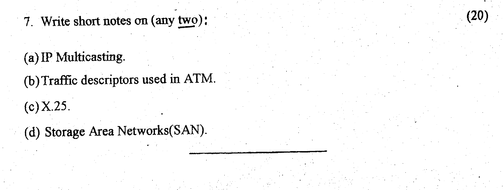- 7. Write short notes on  $\text{(any two)}$ :  $\frac{\text{two}}{\text{...}}$ 

(20)

# $(a)$  IP Multicasting.

(b) Traffic descriptors used in ATM.

 $(c) X.25.$ 

(d) Storage Area Networks(SAN).